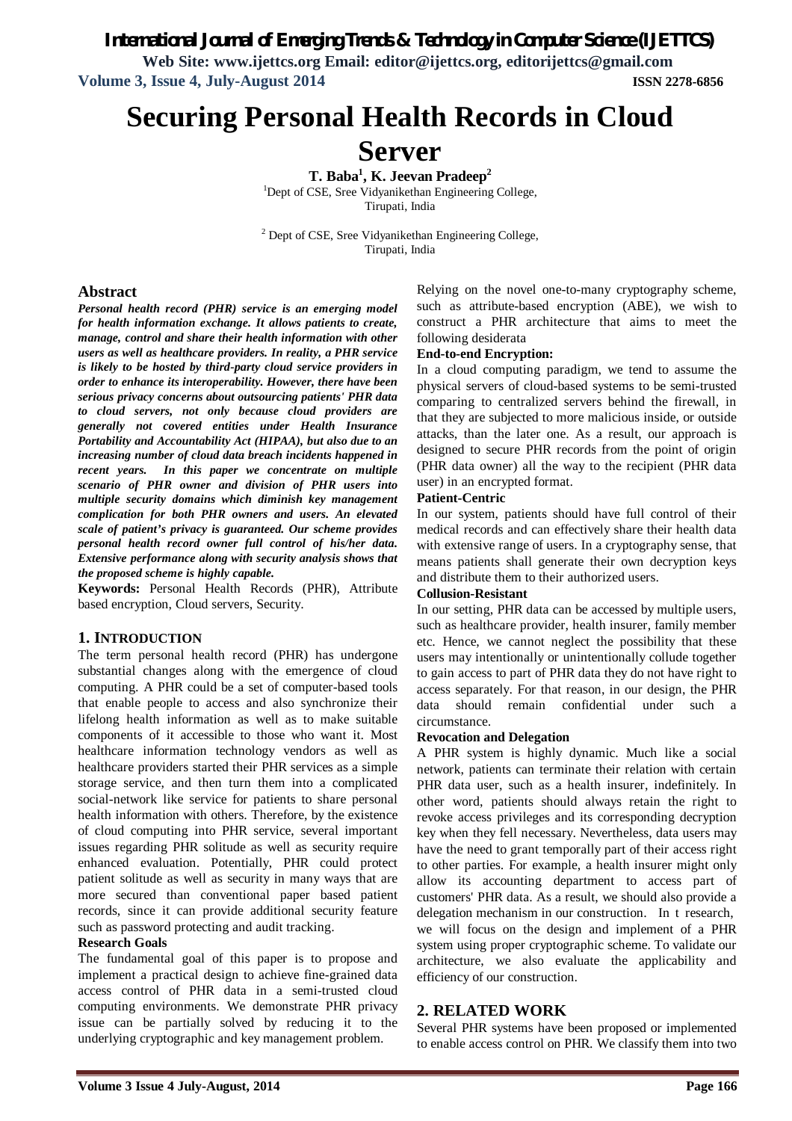# *International Journal of Emerging Trends & Technology in Computer Science (IJETTCS)*

**Web Site: www.ijettcs.org Email: editor@ijettcs.org, editorijettcs@gmail.com Volume 3, Issue 4, July-August 2014 ISSN 2278-6856**

**Securing Personal Health Records in Cloud** 

# **Server**

**T. Baba<sup>1</sup> , K. Jeevan Pradeep<sup>2</sup>** <sup>1</sup>Dept of CSE, Sree Vidyanikethan Engineering College, Tirupati, India

<sup>2</sup> Dept of CSE, Sree Vidyanikethan Engineering College, Tirupati, India

### **Abstract**

*Personal health record (PHR) service is an emerging model for health information exchange. It allows patients to create, manage, control and share their health information with other users as well as healthcare providers. In reality, a PHR service is likely to be hosted by third-party cloud service providers in order to enhance its interoperability. However, there have been serious privacy concerns about outsourcing patients' PHR data to cloud servers, not only because cloud providers are generally not covered entities under Health Insurance Portability and Accountability Act (HIPAA), but also due to an increasing number of cloud data breach incidents happened in recent years. In this paper we concentrate on multiple scenario of PHR owner and division of PHR users into multiple security domains which diminish key management complication for both PHR owners and users. An elevated scale of patient's privacy is guaranteed. Our scheme provides personal health record owner full control of his/her data. Extensive performance along with security analysis shows that the proposed scheme is highly capable.*

**Keywords:** Personal Health Records (PHR), Attribute based encryption, Cloud servers, Security.

### **1. INTRODUCTION**

The term personal health record (PHR) has undergone substantial changes along with the emergence of cloud computing. A PHR could be a set of computer-based tools that enable people to access and also synchronize their lifelong health information as well as to make suitable components of it accessible to those who want it. Most healthcare information technology vendors as well as healthcare providers started their PHR services as a simple storage service, and then turn them into a complicated social-network like service for patients to share personal health information with others. Therefore, by the existence of cloud computing into PHR service, several important issues regarding PHR solitude as well as security require enhanced evaluation. Potentially, PHR could protect patient solitude as well as security in many ways that are more secured than conventional paper based patient records, since it can provide additional security feature such as password protecting and audit tracking.

### **Research Goals**

The fundamental goal of this paper is to propose and implement a practical design to achieve fine-grained data access control of PHR data in a semi-trusted cloud computing environments. We demonstrate PHR privacy issue can be partially solved by reducing it to the underlying cryptographic and key management problem.

Relying on the novel one-to-many cryptography scheme, such as attribute-based encryption (ABE), we wish to construct a PHR architecture that aims to meet the following desiderata

### **End-to-end Encryption:**

In a cloud computing paradigm, we tend to assume the physical servers of cloud-based systems to be semi-trusted comparing to centralized servers behind the firewall, in that they are subjected to more malicious inside, or outside attacks, than the later one. As a result, our approach is designed to secure PHR records from the point of origin (PHR data owner) all the way to the recipient (PHR data user) in an encrypted format.

#### **Patient-Centric**

In our system, patients should have full control of their medical records and can effectively share their health data with extensive range of users. In a cryptography sense, that means patients shall generate their own decryption keys and distribute them to their authorized users.

### **Collusion-Resistant**

In our setting, PHR data can be accessed by multiple users, such as healthcare provider, health insurer, family member etc. Hence, we cannot neglect the possibility that these users may intentionally or unintentionally collude together to gain access to part of PHR data they do not have right to access separately. For that reason, in our design, the PHR data should remain confidential under such a circumstance.

### **Revocation and Delegation**

A PHR system is highly dynamic. Much like a social network, patients can terminate their relation with certain PHR data user, such as a health insurer, indefinitely. In other word, patients should always retain the right to revoke access privileges and its corresponding decryption key when they fell necessary. Nevertheless, data users may have the need to grant temporally part of their access right to other parties. For example, a health insurer might only allow its accounting department to access part of customers' PHR data. As a result, we should also provide a delegation mechanism in our construction. In t research, we will focus on the design and implement of a PHR system using proper cryptographic scheme. To validate our architecture, we also evaluate the applicability and efficiency of our construction.

### **2. RELATED WORK**

Several PHR systems have been proposed or implemented to enable access control on PHR. We classify them into two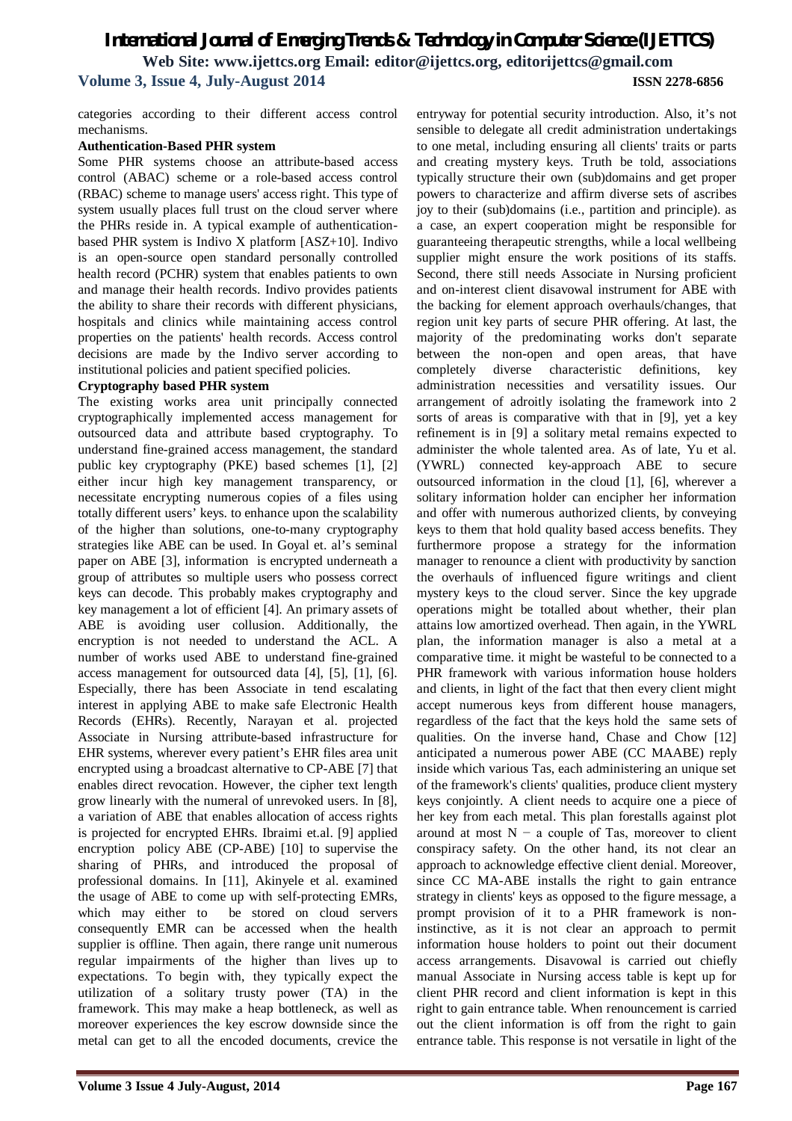# *International Journal of Emerging Trends & Technology in Computer Science (IJETTCS)* **Web Site: www.ijettcs.org Email: editor@ijettcs.org, editorijettcs@gmail.com Volume 3, Issue 4, July-August 2014 ISSN 2278-6856**

categories according to their different access control mechanisms.

#### **Authentication-Based PHR system**

Some PHR systems choose an attribute-based access control (ABAC) scheme or a role-based access control (RBAC) scheme to manage users' access right. This type of system usually places full trust on the cloud server where the PHRs reside in. A typical example of authenticationbased PHR system is Indivo X platform [ASZ+10]. Indivo is an open-source open standard personally controlled health record (PCHR) system that enables patients to own and manage their health records. Indivo provides patients the ability to share their records with different physicians, hospitals and clinics while maintaining access control properties on the patients' health records. Access control decisions are made by the Indivo server according to institutional policies and patient specified policies.

### **Cryptography based PHR system**

The existing works area unit principally connected cryptographically implemented access management for outsourced data and attribute based cryptography. To understand fine-grained access management, the standard public key cryptography (PKE) based schemes [1], [2] either incur high key management transparency, or necessitate encrypting numerous copies of a files using totally different users' keys. to enhance upon the scalability of the higher than solutions, one-to-many cryptography strategies like ABE can be used. In Goyal et. al's seminal paper on ABE [3], information is encrypted underneath a group of attributes so multiple users who possess correct keys can decode. This probably makes cryptography and key management a lot of efficient [4]. An primary assets of ABE is avoiding user collusion. Additionally, the encryption is not needed to understand the ACL. A number of works used ABE to understand fine-grained access management for outsourced data [4], [5], [1], [6]. Especially, there has been Associate in tend escalating interest in applying ABE to make safe Electronic Health Records (EHRs). Recently, Narayan et al. projected Associate in Nursing attribute-based infrastructure for EHR systems, wherever every patient's EHR files area unit encrypted using a broadcast alternative to CP-ABE [7] that enables direct revocation. However, the cipher text length grow linearly with the numeral of unrevoked users. In [8], a variation of ABE that enables allocation of access rights is projected for encrypted EHRs. Ibraimi et.al. [9] applied encryption policy ABE (CP-ABE) [10] to supervise the sharing of PHRs, and introduced the proposal of professional domains. In [11], Akinyele et al. examined the usage of ABE to come up with self-protecting EMRs, which may either to be stored on cloud servers consequently EMR can be accessed when the health supplier is offline. Then again, there range unit numerous regular impairments of the higher than lives up to expectations. To begin with, they typically expect the utilization of a solitary trusty power (TA) in the framework. This may make a heap bottleneck, as well as moreover experiences the key escrow downside since the metal can get to all the encoded documents, crevice the

entryway for potential security introduction. Also, it's not sensible to delegate all credit administration undertakings to one metal, including ensuring all clients' traits or parts and creating mystery keys. Truth be told, associations typically structure their own (sub)domains and get proper powers to characterize and affirm diverse sets of ascribes joy to their (sub)domains (i.e., partition and principle). as a case, an expert cooperation might be responsible for guaranteeing therapeutic strengths, while a local wellbeing supplier might ensure the work positions of its staffs. Second, there still needs Associate in Nursing proficient and on-interest client disavowal instrument for ABE with the backing for element approach overhauls/changes, that region unit key parts of secure PHR offering. At last, the majority of the predominating works don't separate between the non-open and open areas, that have completely diverse characteristic definitions, key administration necessities and versatility issues. Our arrangement of adroitly isolating the framework into 2 sorts of areas is comparative with that in [9], yet a key refinement is in [9] a solitary metal remains expected to administer the whole talented area. As of late, Yu et al. (YWRL) connected key-approach ABE to secure outsourced information in the cloud [1], [6], wherever a solitary information holder can encipher her information and offer with numerous authorized clients, by conveying keys to them that hold quality based access benefits. They furthermore propose a strategy for the information manager to renounce a client with productivity by sanction the overhauls of influenced figure writings and client mystery keys to the cloud server. Since the key upgrade operations might be totalled about whether, their plan attains low amortized overhead. Then again, in the YWRL plan, the information manager is also a metal at a comparative time. it might be wasteful to be connected to a PHR framework with various information house holders and clients, in light of the fact that then every client might accept numerous keys from different house managers, regardless of the fact that the keys hold the same sets of qualities. On the inverse hand, Chase and Chow [12] anticipated a numerous power ABE (CC MAABE) reply inside which various Tas, each administering an unique set of the framework's clients' qualities, produce client mystery keys conjointly. A client needs to acquire one a piece of her key from each metal. This plan forestalls against plot around at most  $N - a$  couple of Tas, moreover to client conspiracy safety. On the other hand, its not clear an approach to acknowledge effective client denial. Moreover, since CC MA-ABE installs the right to gain entrance strategy in clients' keys as opposed to the figure message, a prompt provision of it to a PHR framework is noninstinctive, as it is not clear an approach to permit information house holders to point out their document access arrangements. Disavowal is carried out chiefly manual Associate in Nursing access table is kept up for client PHR record and client information is kept in this right to gain entrance table. When renouncement is carried out the client information is off from the right to gain entrance table. This response is not versatile in light of the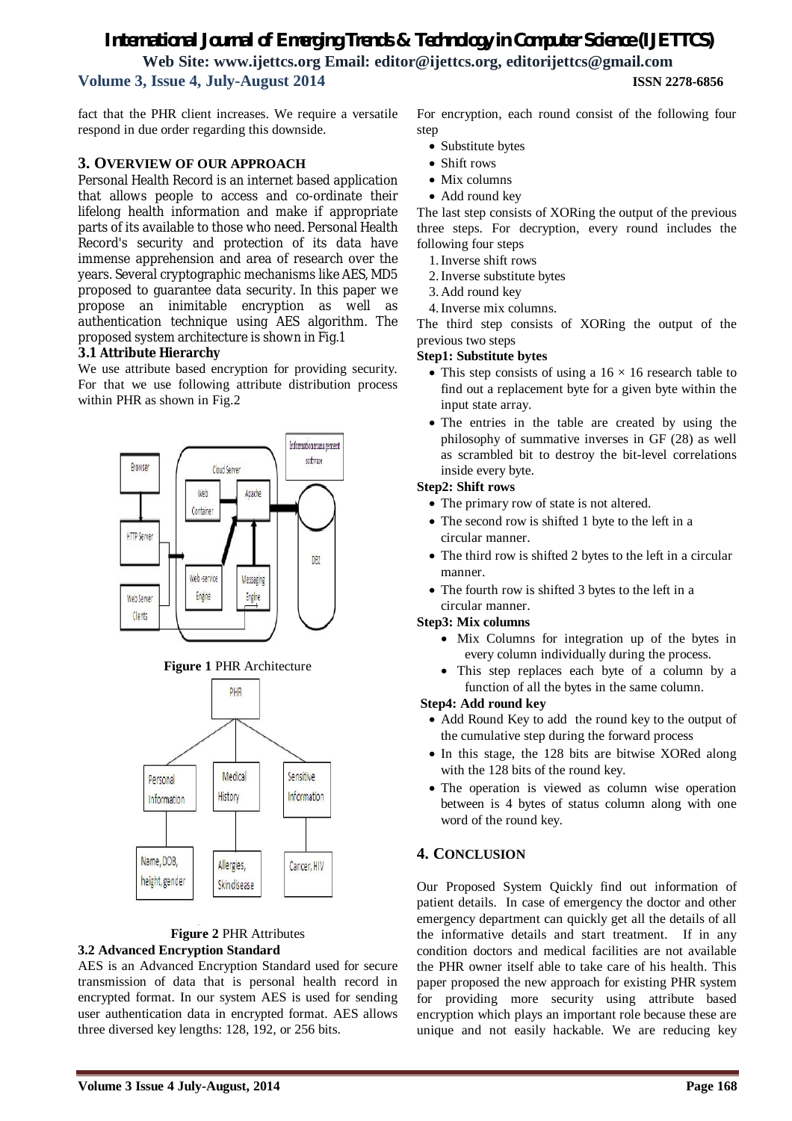# *International Journal of Emerging Trends & Technology in Computer Science (IJETTCS)* **Web Site: www.ijettcs.org Email: editor@ijettcs.org, editorijettcs@gmail.com Volume 3, Issue 4, July-August 2014 ISSN 2278-6856**

fact that the PHR client increases. We require a versatile respond in due order regarding this downside.

### **3. OVERVIEW OF OUR APPROACH**

Personal Health Record is an internet based application that allows people to access and co-ordinate their lifelong health information and make if appropriate parts of its available to those who need. Personal Health Record's security and protection of its data have immense apprehension and area of research over the years. Several cryptographic mechanisms like AES, MD5 proposed to guarantee data security. In this paper we propose an inimitable encryption as well as authentication technique using AES algorithm. The proposed system architecture is shown in Fig.1

### **3.1 Attribute Hierarchy**

We use attribute based encryption for providing security. For that we use following attribute distribution process within PHR as shown in Fig.2







#### **Figure 2** PHR Attributes **3.2 Advanced Encryption Standard**

AES is an Advanced Encryption Standard used for secure transmission of data that is personal health record in encrypted format. In our system AES is used for sending user authentication data in encrypted format. AES allows three diversed key lengths: 128, 192, or 256 bits.

- Substitute bytes
- Shift rows
- Mix columns
- Add round key

The last step consists of XORing the output of the previous three steps. For decryption, every round includes the following four steps

- 1.Inverse shift rows
- 2.Inverse substitute bytes
- 3.Add round key
- 4.Inverse mix columns.

The third step consists of XORing the output of the previous two steps

### **Step1: Substitute bytes**

- This step consists of using a  $16 \times 16$  research table to find out a replacement byte for a given byte within the input state array.
- The entries in the table are created by using the philosophy of summative inverses in GF (28) as well as scrambled bit to destroy the bit-level correlations inside every byte.

### **Step2: Shift rows**

- The primary row of state is not altered.
- The second row is shifted 1 byte to the left in a circular manner.
- The third row is shifted 2 bytes to the left in a circular manner.
- The fourth row is shifted 3 bytes to the left in a circular manner.

### **Step3: Mix columns**

- Mix Columns for integration up of the bytes in every column individually during the process.
- This step replaces each byte of a column by a function of all the bytes in the same column.

### **Step4: Add round key**

- Add Round Key to add the round key to the output of the cumulative step during the forward process
- In this stage, the 128 bits are bitwise XORed along with the 128 bits of the round key.
- The operation is viewed as column wise operation between is 4 bytes of status column along with one word of the round key.

# **4. CONCLUSION**

Our Proposed System Quickly find out information of patient details. In case of emergency the doctor and other emergency department can quickly get all the details of all the informative details and start treatment. If in any condition doctors and medical facilities are not available the PHR owner itself able to take care of his health. This paper proposed the new approach for existing PHR system for providing more security using attribute based encryption which plays an important role because these are unique and not easily hackable. We are reducing key